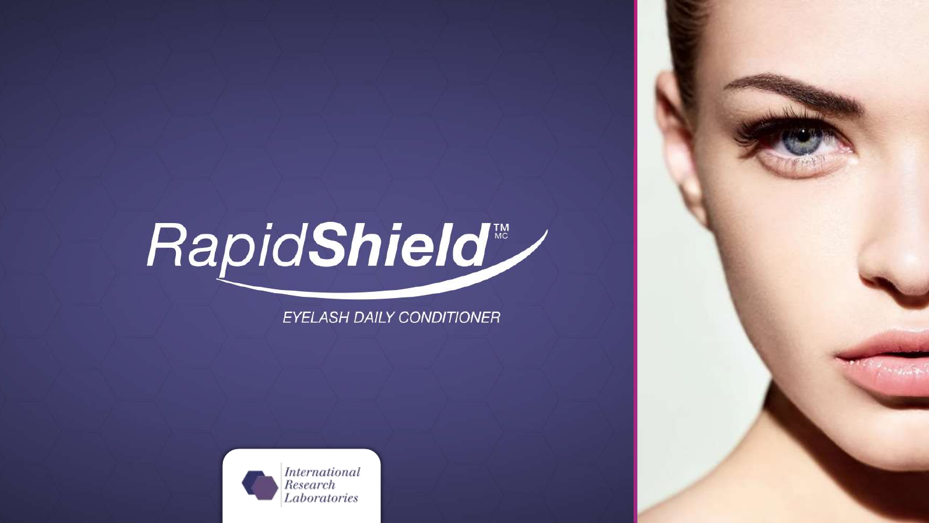# RapidShield

**EYELASH DAILY CONDITIONER** 

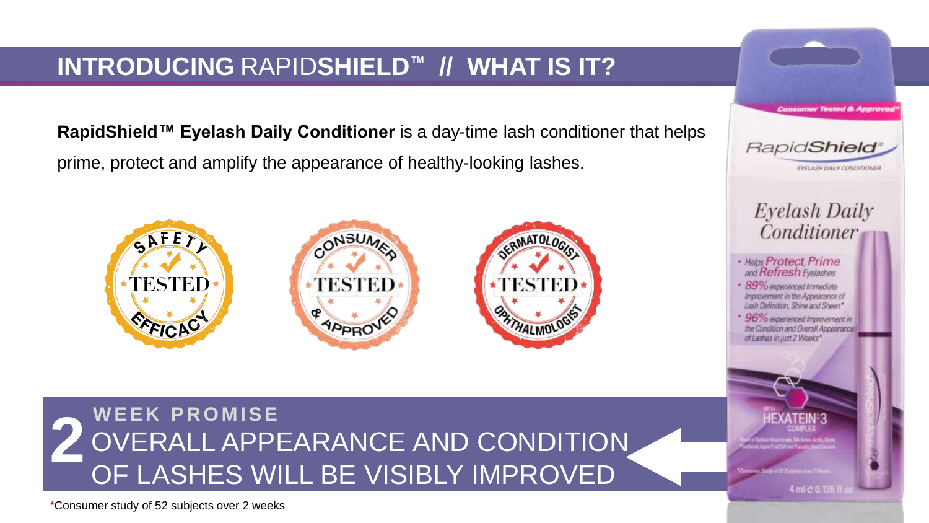# **INTRODUCING** RAPID**SHIELD™ // WHAT IS IT?**

**RapidShield™ Eyelash Daily Conditioner** is a day-time lash conditioner that helps prime, protect and amplify the appearance of healthy-looking lashes.



**2** OVERALL APPEARANCE AND CONDITION OF LASHES WILL BE VISIBLY IMPROVED **W E E K P R O M I S E**

\*Consumer study of 52 subjects over 2 weeks



4 ml e 0.135 fl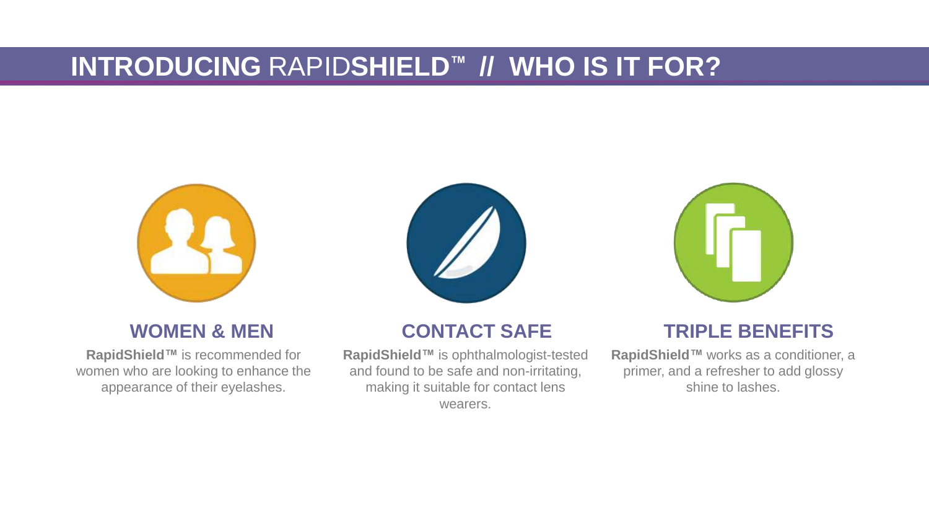# **INTRODUCING** RAPID**SHIELD™ // WHO IS IT FOR?**



### **WOMEN & MEN**

**RapidShield™** is recommended for women who are looking to enhance the appearance of their eyelashes.



## **CONTACT SAFE**

**RapidShield™** is ophthalmologist-tested and found to be safe and non-irritating, making it suitable for contact lens wearers.



## **TRIPLE BENEFITS**

**RapidShield™** works as a conditioner, a primer, and a refresher to add glossy shine to lashes.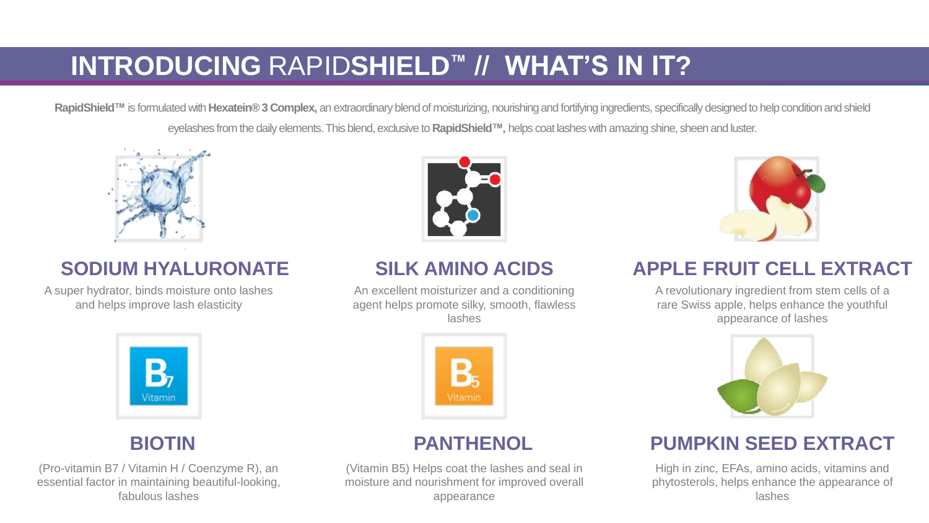# **INTRODUCING** RAPID**SHIELD™ // WHAT'S IN IT?**

RapidShield™ is formulated with Hexatein® 3 Complex, an extraordinary blend of moisturizing, nourishing and fortifying ingredients, specifically designed to help condition and shield eyelashes from the daily elements. This blend, exclusive to **RapidShield™,** helps coat lashes with amazing shine, sheen and luster.



## **SODIUM HYALURONATE**

A super hydrator, binds moisture onto lashes and helps improve lash elasticity



## **SILK AMINO ACIDS**

An excellent moisturizer and a conditioning agent helps promote silky, smooth, flawless lashes



## **BIOTIN**

(Pro-vitamin B7 / Vitamin H / Coenzyme R), an essential factor in maintaining beautiful-looking, fabulous lashes



## **PANTHENOL**

(Vitamin B5) Helps coat the lashes and seal in moisture and nourishment for improved overall appearance



## **APPLE FRUIT CELL EXTRACT**

A revolutionary ingredient from stem cells of a rare Swiss apple, helps enhance the youthful appearance of lashes



## **PUMPKIN SEED EXTRACT**

High in zinc, EFAs, amino acids, vitamins and phytosterols, helps enhance the appearance of lashes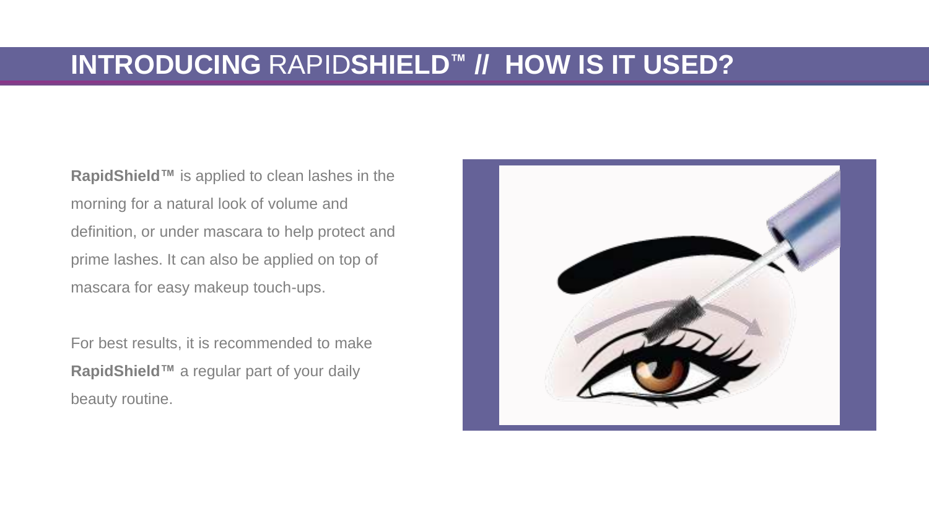# **INTRODUCING** RAPID**SHIELD™ // HOW IS IT USED?**

**RapidShield™** is applied to clean lashes in the morning for a natural look of volume and definition, or under mascara to help protect and prime lashes. It can also be applied on top of mascara for easy makeup touch-ups.

For best results, it is recommended to make **RapidShield™** a regular part of your daily beauty routine.

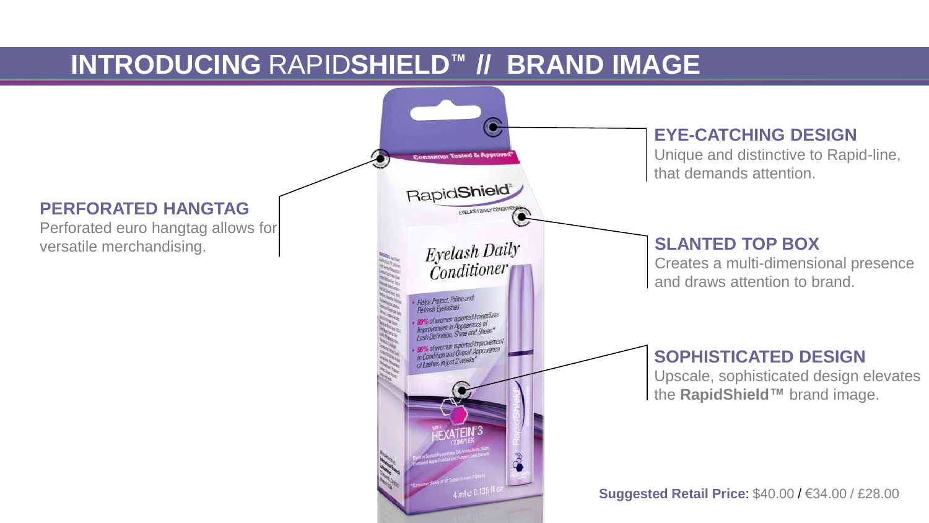# **INTRODUCING** RAPID**SHIELD™ // BRAND IMAGE**

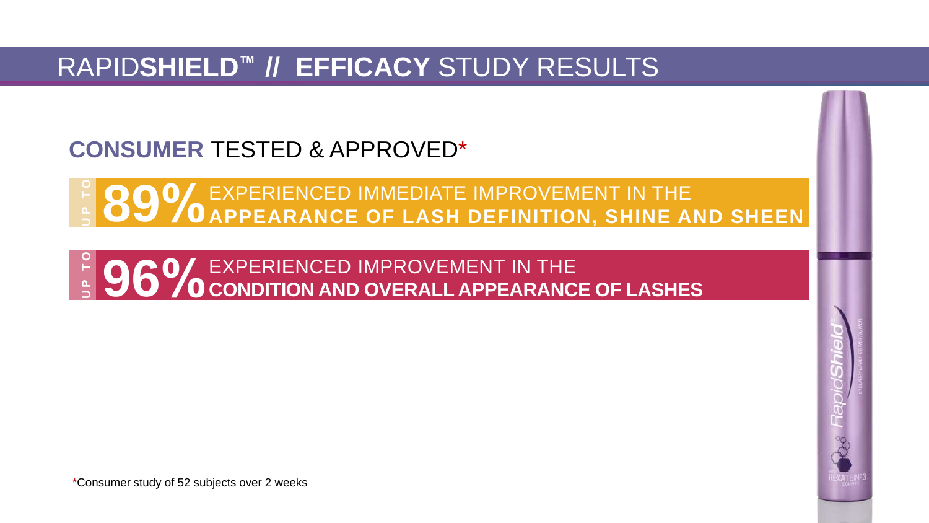# RAPID**SHIELD™ // EFFICACY** STUDY RESULTS

**CONSUMER** TESTED & APPROVED\*

**COOL EXPERIENCED IMMEDIATE IMPROVEMENT IN THE SOOL EXPERIENCED IMMEDIATE IMPROVEMENT IN THE SHEEN** 

**9 0 0 D**  $\frac{1}{2}$  **C C**  $\frac{1}{2}$  **CONDITION AND OVERALL APPEARANCE OF LASHES** 

\*Consumer study of 52 subjects over 2 weeks

 $\frac{9}{2}$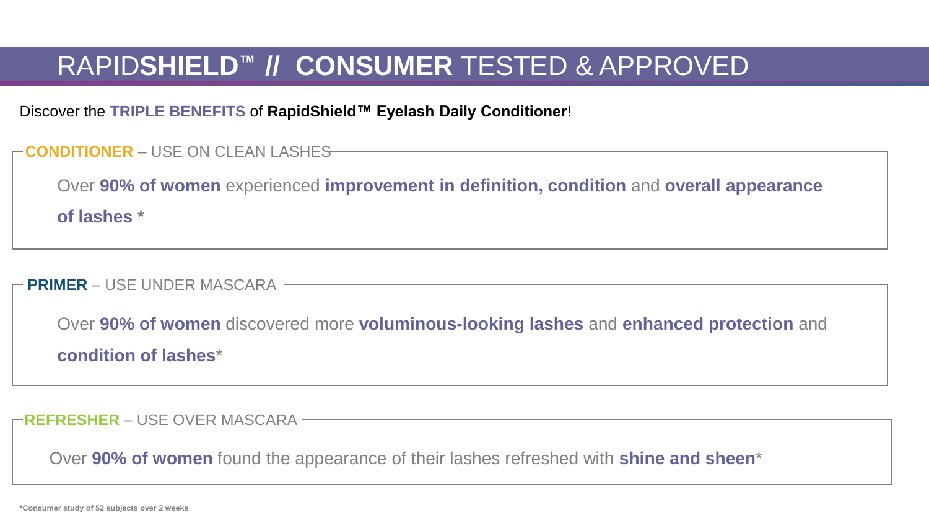# RAPID**SHIELD™ // CONSUMER** TESTED & APPROVED

Discover the **TRIPLE BENEFITS** of **RapidShield™ Eyelash Daily Conditioner**!

| - CONDITIONER – USE ON CLEAN LASHES- |  |  |  |  |
|--------------------------------------|--|--|--|--|
|--------------------------------------|--|--|--|--|

Over **90% of women** experienced **improvement in definition, condition** and **overall appearance of lashes \***

**PRIMER** – USE UNDER MASCARA

Over **90% of women** discovered more **voluminous-looking lashes** and **enhanced protection** and **condition of lashes**\*

**REFRESHER** – USE OVER MASCARA

Over **90% of women** found the appearance of their lashes refreshed with **shine and sheen**\*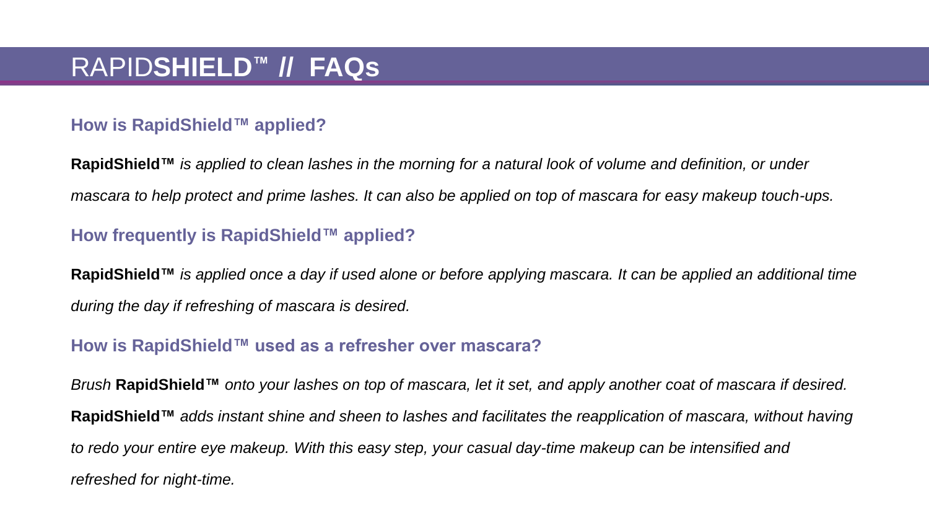#### **How is RapidShield™ applied?**

**RapidShield™** *is applied to clean lashes in the morning for a natural look of volume and definition, or under mascara to help protect and prime lashes. It can also be applied on top of mascara for easy makeup touch-ups.*

#### **How frequently is RapidShield™ applied?**

**RapidShield™** *is applied once a day if used alone or before applying mascara. It can be applied an additional time during the day if refreshing of mascara is desired.*

#### **How is RapidShield™ used as a refresher over mascara?**

*Brush* **RapidShield™** *onto your lashes on top of mascara, let it set, and apply another coat of mascara if desired.*  **RapidShield™** *adds instant shine and sheen to lashes and facilitates the reapplication of mascara, without having to redo your entire eye makeup. With this easy step, your casual day-time makeup can be intensified and refreshed for night-time.*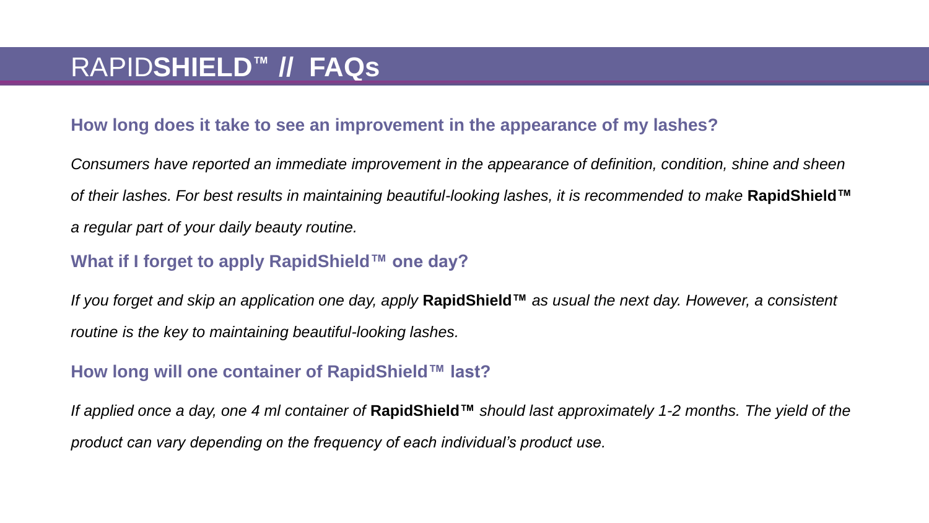#### **How long does it take to see an improvement in the appearance of my lashes?**

*Consumers have reported an immediate improvement in the appearance of definition, condition, shine and sheen of their lashes. For best results in maintaining beautiful-looking lashes, it is recommended to make* **RapidShield™** *a regular part of your daily beauty routine.* 

#### **What if I forget to apply RapidShield™ one day?**

*If you forget and skip an application one day, apply* **RapidShield™** *as usual the next day. However, a consistent routine is the key to maintaining beautiful-looking lashes.*

#### **How long will one container of RapidShield™ last?**

*If applied once a day, one 4 ml container of* **RapidShield™** *should last approximately 1-2 months. The yield of the product can vary depending on the frequency of each individual's product use.*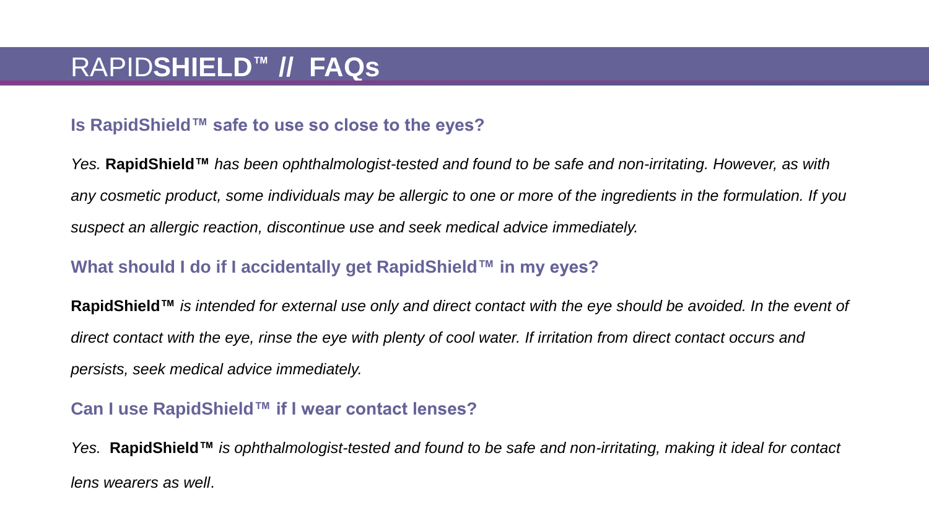#### **Is RapidShield™ safe to use so close to the eyes?**

*Yes.* **RapidShield™** *has been ophthalmologist-tested and found to be safe and non-irritating. However, as with any cosmetic product, some individuals may be allergic to one or more of the ingredients in the formulation. If you suspect an allergic reaction, discontinue use and seek medical advice immediately.* 

#### **What should I do if I accidentally get RapidShield™ in my eyes?**

**RapidShield™** *is intended for external use only and direct contact with the eye should be avoided. In the event of direct contact with the eye, rinse the eye with plenty of cool water. If irritation from direct contact occurs and persists, seek medical advice immediately.*

#### **Can I use RapidShield™ if I wear contact lenses?**

*Yes.* **RapidShield™** *is ophthalmologist-tested and found to be safe and non-irritating, making it ideal for contact lens wearers as well*.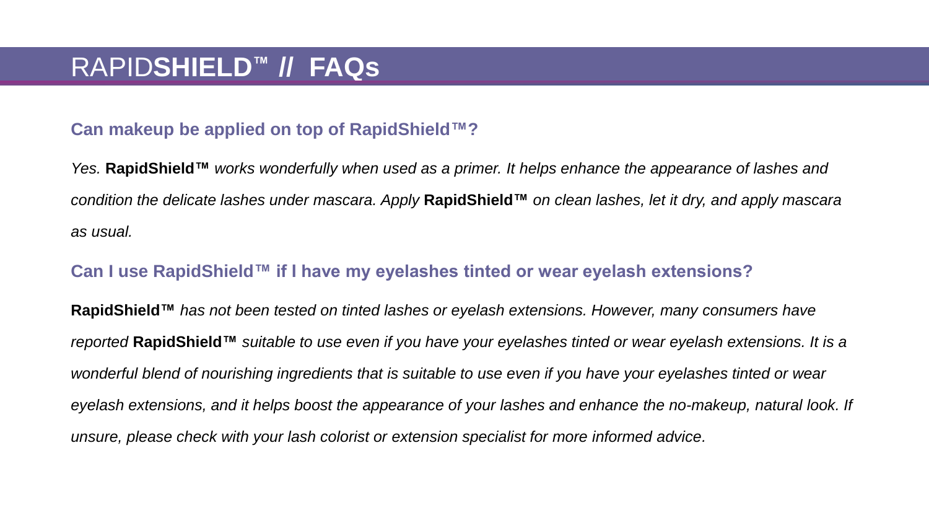#### **Can makeup be applied on top of RapidShield™?**

*Yes.* **RapidShield™** *works wonderfully when used as a primer. It helps enhance the appearance of lashes and condition the delicate lashes under mascara. Apply* **RapidShield™** *on clean lashes, let it dry, and apply mascara as usual.* 

#### **Can I use RapidShield™ if I have my eyelashes tinted or wear eyelash extensions?**

**RapidShield™** *has not been tested on tinted lashes or eyelash extensions. However, many consumers have reported* **RapidShield™** *suitable to use even if you have your eyelashes tinted or wear eyelash extensions. It is a wonderful blend of nourishing ingredients that is suitable to use even if you have your eyelashes tinted or wear eyelash extensions, and it helps boost the appearance of your lashes and enhance the no-makeup, natural look. If unsure, please check with your lash colorist or extension specialist for more informed advice.*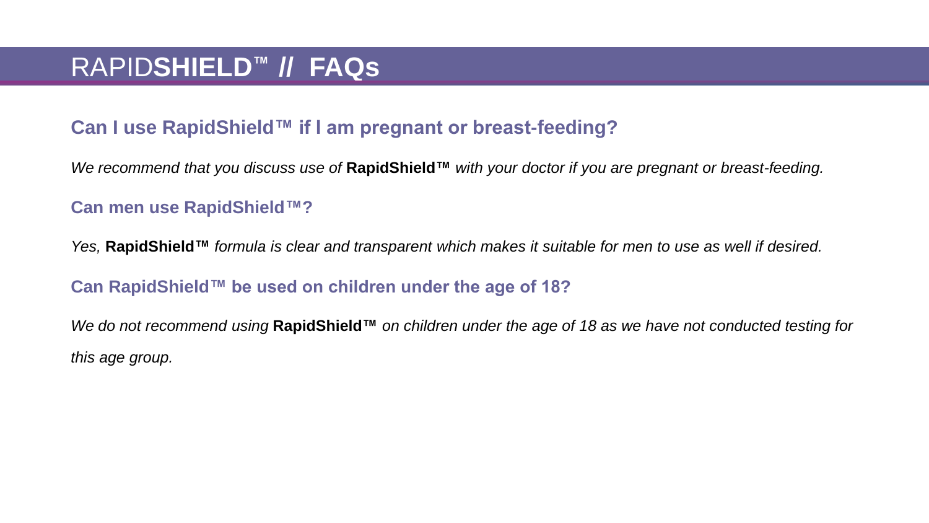### **Can I use RapidShield™ if I am pregnant or breast-feeding?**

*We recommend that you discuss use of* **RapidShield™** *with your doctor if you are pregnant or breast-feeding.* 

#### **Can men use RapidShield™?**

*Yes,* **RapidShield™** *formula is clear and transparent which makes it suitable for men to use as well if desired.*

#### **Can RapidShield™ be used on children under the age of 18?**

*We do not recommend using* **RapidShield™** *on children under the age of 18 as we have not conducted testing for this age group.*